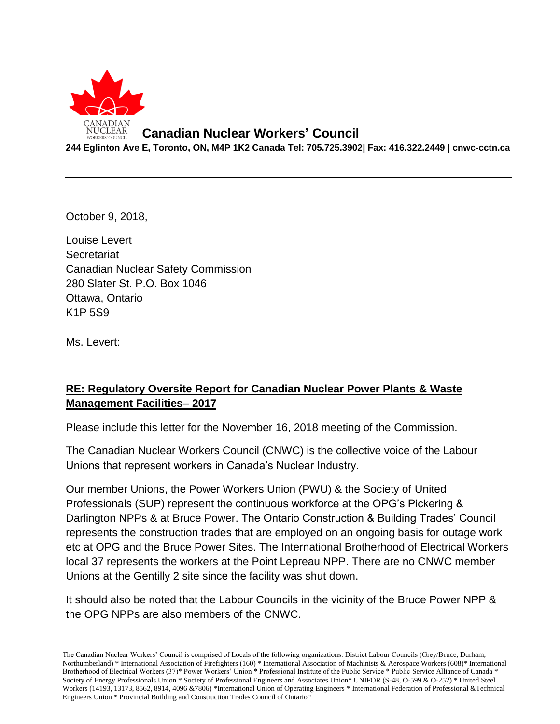

## **Canadian Nuclear Workers' Council**

**244 Eglinton Ave E, Toronto, ON, M4P 1K2 Canada Tel: 705.725.3902| Fax: 416.322.2449 | cnwc-cctn.ca**

October 9, 2018,

Louise Levert **Secretariat** Canadian Nuclear Safety Commission 280 Slater St. P.O. Box 1046 Ottawa, Ontario K1P 5S9

Ms. Levert:

## **RE: Regulatory Oversite Report for Canadian Nuclear Power Plants & Waste Management Facilities– 2017**

Please include this letter for the November 16, 2018 meeting of the Commission.

The Canadian Nuclear Workers Council (CNWC) is the collective voice of the Labour Unions that represent workers in Canada's Nuclear Industry.

Our member Unions, the Power Workers Union (PWU) & the Society of United Professionals (SUP) represent the continuous workforce at the OPG's Pickering & Darlington NPPs & at Bruce Power. The Ontario Construction & Building Trades' Council represents the construction trades that are employed on an ongoing basis for outage work etc at OPG and the Bruce Power Sites. The International Brotherhood of Electrical Workers local 37 represents the workers at the Point Lepreau NPP. There are no CNWC member Unions at the Gentilly 2 site since the facility was shut down.

It should also be noted that the Labour Councils in the vicinity of the Bruce Power NPP & the OPG NPPs are also members of the CNWC.

The Canadian Nuclear Workers' Council is comprised of Locals of the following organizations: District Labour Councils (Grey/Bruce, Durham, Northumberland) \* International Association of Firefighters (160) \* International Association of Machinists & Aerospace Workers (608)\* International Brotherhood of Electrical Workers (37)\* Power Workers' Union \* Professional Institute of the Public Service \* Public Service Alliance of Canada \* Society of Energy Professionals Union \* Society of Professional Engineers and Associates Union\* UNIFOR (S-48, O-599 & O-252) \* United Steel Workers (14193, 13173, 8562, 8914, 4096 &7806) \*International Union of Operating Engineers \* International Federation of Professional &Technical Engineers Union \* Provincial Building and Construction Trades Council of Ontario\*